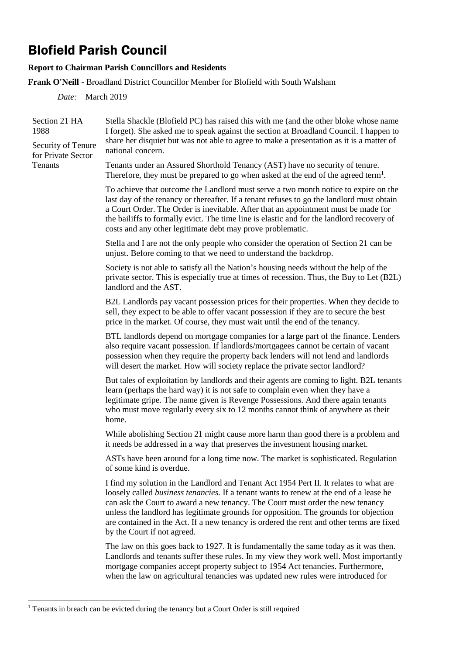## Blofield Parish Council

## **Report to Chairman Parish Councillors and Residents**

**Frank O'Neill -** Broadland District Councillor Member for Blofield with South Walsham

*Date:* March 2019

| Section 21 HA<br>1988<br>Security of Tenure<br>for Private Sector<br>Tenants | Stella Shackle (Blofield PC) has raised this with me (and the other bloke whose name<br>I forget). She asked me to speak against the section at Broadland Council. I happen to<br>share her disquiet but was not able to agree to make a presentation as it is a matter of                                                                                                                                                                                                            |
|------------------------------------------------------------------------------|---------------------------------------------------------------------------------------------------------------------------------------------------------------------------------------------------------------------------------------------------------------------------------------------------------------------------------------------------------------------------------------------------------------------------------------------------------------------------------------|
|                                                                              | national concern.                                                                                                                                                                                                                                                                                                                                                                                                                                                                     |
|                                                                              | Tenants under an Assured Shorthold Tenancy (AST) have no security of tenure.<br>Therefore, they must be prepared to go when asked at the end of the agreed term <sup>1</sup> .                                                                                                                                                                                                                                                                                                        |
|                                                                              | To achieve that outcome the Landlord must serve a two month notice to expire on the<br>last day of the tenancy or thereafter. If a tenant refuses to go the landlord must obtain<br>a Court Order. The Order is inevitable. After that an appointment must be made for<br>the bailiffs to formally evict. The time line is elastic and for the landlord recovery of<br>costs and any other legitimate debt may prove problematic.                                                     |
|                                                                              | Stella and I are not the only people who consider the operation of Section 21 can be<br>unjust. Before coming to that we need to understand the backdrop.                                                                                                                                                                                                                                                                                                                             |
|                                                                              | Society is not able to satisfy all the Nation's housing needs without the help of the<br>private sector. This is especially true at times of recession. Thus, the Buy to Let (B2L)<br>landlord and the AST.                                                                                                                                                                                                                                                                           |
|                                                                              | B2L Landlords pay vacant possession prices for their properties. When they decide to<br>sell, they expect to be able to offer vacant possession if they are to secure the best<br>price in the market. Of course, they must wait until the end of the tenancy.                                                                                                                                                                                                                        |
|                                                                              | BTL landlords depend on mortgage companies for a large part of the finance. Lenders<br>also require vacant possession. If landlords/mortgagees cannot be certain of vacant<br>possession when they require the property back lenders will not lend and landlords<br>will desert the market. How will society replace the private sector landlord?                                                                                                                                     |
|                                                                              | But tales of exploitation by landlords and their agents are coming to light. B2L tenants<br>learn (perhaps the hard way) it is not safe to complain even when they have a<br>legitimate gripe. The name given is Revenge Possessions. And there again tenants<br>who must move regularly every six to 12 months cannot think of anywhere as their<br>home.                                                                                                                            |
|                                                                              | While abolishing Section 21 might cause more harm than good there is a problem and<br>it needs be addressed in a way that preserves the investment housing market.                                                                                                                                                                                                                                                                                                                    |
|                                                                              | ASTs have been around for a long time now. The market is sophisticated. Regulation<br>of some kind is overdue.                                                                                                                                                                                                                                                                                                                                                                        |
|                                                                              | I find my solution in the Landlord and Tenant Act 1954 Pert II. It relates to what are<br>loosely called business tenancies. If a tenant wants to renew at the end of a lease he<br>can ask the Court to award a new tenancy. The Court must order the new tenancy<br>unless the landlord has legitimate grounds for opposition. The grounds for objection<br>are contained in the Act. If a new tenancy is ordered the rent and other terms are fixed<br>by the Court if not agreed. |
|                                                                              | The law on this goes back to 1927. It is fundamentally the same today as it was then.<br>Landlords and tenants suffer these rules. In my view they work well. Most importantly<br>mortgage companies accept property subject to 1954 Act tenancies. Furthermore,<br>when the law on agricultural tenancies was updated new rules were introduced for                                                                                                                                  |

<sup>1</sup>  $1$  Tenants in breach can be evicted during the tenancy but a Court Order is still required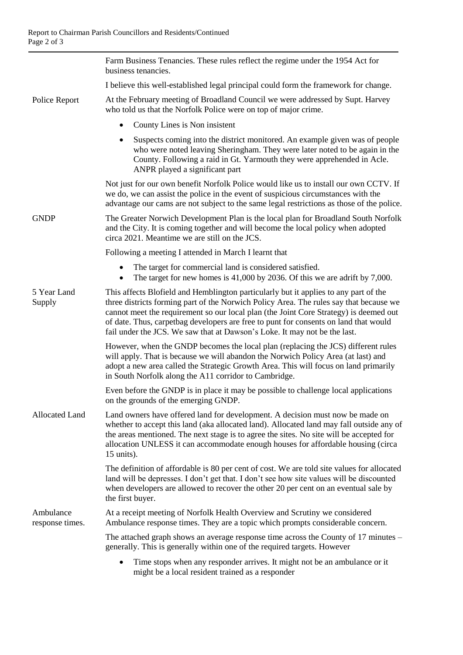|                              | Farm Business Tenancies. These rules reflect the regime under the 1954 Act for<br>business tenancies.                                                                                                                                                                                                                                                                                                                                        |
|------------------------------|----------------------------------------------------------------------------------------------------------------------------------------------------------------------------------------------------------------------------------------------------------------------------------------------------------------------------------------------------------------------------------------------------------------------------------------------|
|                              | I believe this well-established legal principal could form the framework for change.                                                                                                                                                                                                                                                                                                                                                         |
| Police Report                | At the February meeting of Broadland Council we were addressed by Supt. Harvey<br>who told us that the Norfolk Police were on top of major crime.                                                                                                                                                                                                                                                                                            |
|                              | County Lines is Non insistent                                                                                                                                                                                                                                                                                                                                                                                                                |
|                              | Suspects coming into the district monitored. An example given was of people<br>who were noted leaving Sheringham. They were later noted to be again in the<br>County. Following a raid in Gt. Yarmouth they were apprehended in Acle.<br>ANPR played a significant part                                                                                                                                                                      |
|                              | Not just for our own benefit Norfolk Police would like us to install our own CCTV. If<br>we do, we can assist the police in the event of suspicious circumstances with the<br>advantage our cams are not subject to the same legal restrictions as those of the police.                                                                                                                                                                      |
| <b>GNDP</b>                  | The Greater Norwich Development Plan is the local plan for Broadland South Norfolk<br>and the City. It is coming together and will become the local policy when adopted<br>circa 2021. Meantime we are still on the JCS.                                                                                                                                                                                                                     |
|                              | Following a meeting I attended in March I learnt that                                                                                                                                                                                                                                                                                                                                                                                        |
|                              | The target for commercial land is considered satisfied.<br>The target for new homes is $41,000$ by 2036. Of this we are adrift by 7,000.<br>٠                                                                                                                                                                                                                                                                                                |
| 5 Year Land<br>Supply        | This affects Blofield and Hemblington particularly but it applies to any part of the<br>three districts forming part of the Norwich Policy Area. The rules say that because we<br>cannot meet the requirement so our local plan (the Joint Core Strategy) is deemed out<br>of date. Thus, carpetbag developers are free to punt for consents on land that would<br>fail under the JCS. We saw that at Dawson's Loke. It may not be the last. |
|                              | However, when the GNDP becomes the local plan (replacing the JCS) different rules<br>will apply. That is because we will abandon the Norwich Policy Area (at last) and<br>adopt a new area called the Strategic Growth Area. This will focus on land primarily<br>in South Norfolk along the A11 corridor to Cambridge.                                                                                                                      |
|                              | Even before the GNDP is in place it may be possible to challenge local applications<br>on the grounds of the emerging GNDP.                                                                                                                                                                                                                                                                                                                  |
| Allocated Land               | Land owners have offered land for development. A decision must now be made on<br>whether to accept this land (aka allocated land). Allocated land may fall outside any of<br>the areas mentioned. The next stage is to agree the sites. No site will be accepted for<br>allocation UNLESS it can accommodate enough houses for affordable housing (circa<br>15 units).                                                                       |
|                              | The definition of affordable is 80 per cent of cost. We are told site values for allocated<br>land will be depresses. I don't get that. I don't see how site values will be discounted<br>when developers are allowed to recover the other 20 per cent on an eventual sale by<br>the first buyer.                                                                                                                                            |
| Ambulance<br>response times. | At a receipt meeting of Norfolk Health Overview and Scrutiny we considered<br>Ambulance response times. They are a topic which prompts considerable concern.                                                                                                                                                                                                                                                                                 |
|                              | The attached graph shows an average response time across the County of 17 minutes –<br>generally. This is generally within one of the required targets. However                                                                                                                                                                                                                                                                              |
|                              | Time stops when any responder arrives. It might not be an ambulance or it<br>might be a local resident trained as a responder                                                                                                                                                                                                                                                                                                                |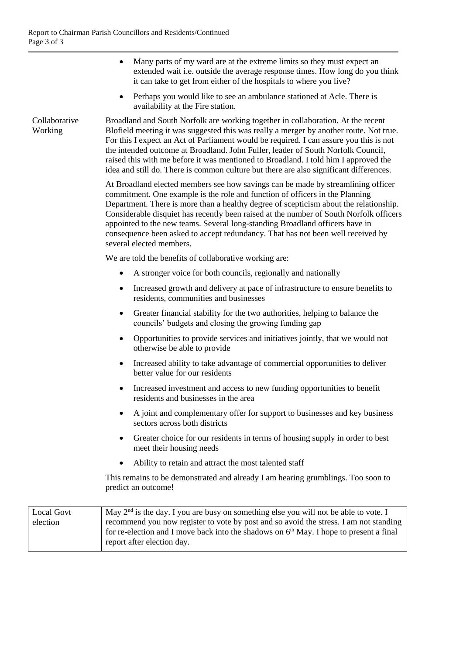Collaborative Working

- Many parts of my ward are at the extreme limits so they must expect an extended wait i.e. outside the average response times. How long do you think it can take to get from either of the hospitals to where you live?
- Perhaps you would like to see an ambulance stationed at Acle. There is availability at the Fire station.

Broadland and South Norfolk are working together in collaboration. At the recent Blofield meeting it was suggested this was really a merger by another route. Not true. For this I expect an Act of Parliament would be required. I can assure you this is not the intended outcome at Broadland. John Fuller, leader of South Norfolk Council, raised this with me before it was mentioned to Broadland. I told him I approved the idea and still do. There is common culture but there are also significant differences.

At Broadland elected members see how savings can be made by streamlining officer commitment. One example is the role and function of officers in the Planning Department. There is more than a healthy degree of scepticism about the relationship. Considerable disquiet has recently been raised at the number of South Norfolk officers appointed to the new teams. Several long-standing Broadland officers have in consequence been asked to accept redundancy. That has not been well received by several elected members.

We are told the benefits of collaborative working are:

- A stronger voice for both councils, regionally and nationally
- Increased growth and delivery at pace of infrastructure to ensure benefits to residents, communities and businesses
- Greater financial stability for the two authorities, helping to balance the councils' budgets and closing the growing funding gap
- Opportunities to provide services and initiatives jointly, that we would not otherwise be able to provide
- Increased ability to take advantage of commercial opportunities to deliver better value for our residents
- Increased investment and access to new funding opportunities to benefit residents and businesses in the area
- A joint and complementary offer for support to businesses and key business sectors across both districts
- Greater choice for our residents in terms of housing supply in order to best meet their housing needs
- Ability to retain and attract the most talented staff

This remains to be demonstrated and already I am hearing grumblings. Too soon to predict an outcome!

| Local Govt | May $2nd$ is the day. I you are busy on something else you will not be able to vote. I   |
|------------|------------------------------------------------------------------------------------------|
| election   | recommend you now register to vote by post and so avoid the stress. I am not standing    |
|            | for re-election and I move back into the shadows on $6th$ May. I hope to present a final |
|            | report after election day.                                                               |
|            |                                                                                          |